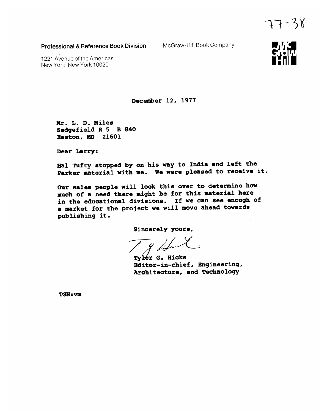**Professional & Reference Book Division** 

McGraw-Hill Book Company

1221 Avenue of the Americas New York. New York 10020

December 12, 1977

Mr. L. D. Miles Sedgefield R 5 B 840 Easton, MD 21601

Dear Larry:

Hal Tufty stopped by on his way to India and left the Parker material with me. We were pleased to receive it.

Our sales people will look this over to determine how much of a need there might be for this material here in the educational divisions. If we can see enough of a market for the project we will move ahead towards publishing it.

Sincerely yours,

Tyler G. Hicks Editor-in-chief, Engineering, Architecture, and Technology

**TGH**: VIII



 $77 - 38$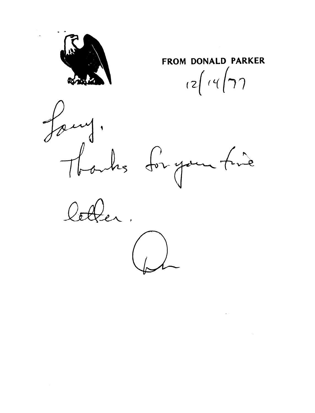

**FROM DONALD PARKER**  $\frac{2}{\sqrt{4}}$